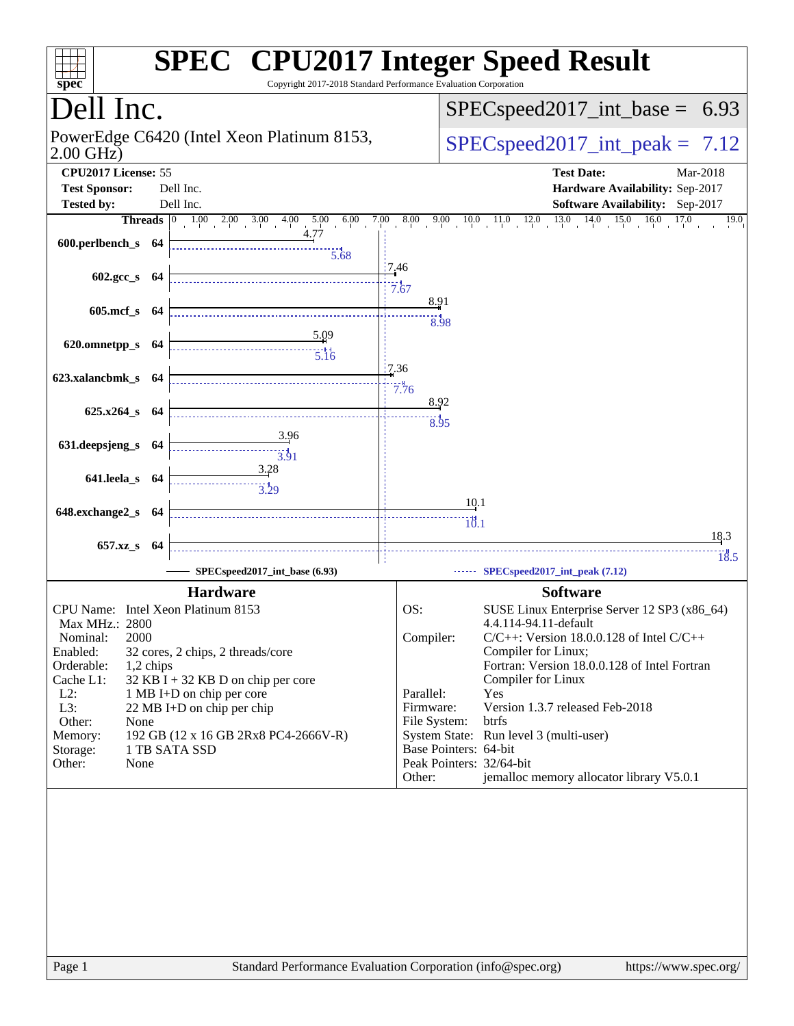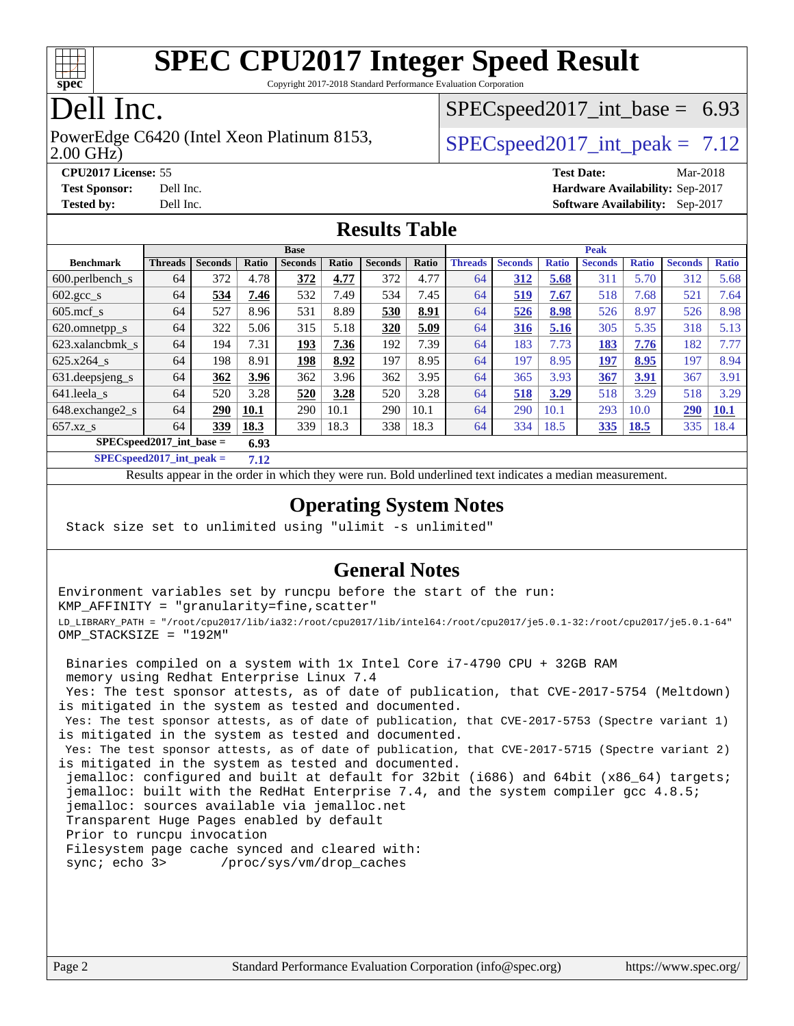

Copyright 2017-2018 Standard Performance Evaluation Corporation

#### Dell Inc.

2.00 GHz) PowerEdge C6420 (Intel Xeon Platinum 8153,  $\vert$  [SPECspeed2017\\_int\\_peak =](http://www.spec.org/auto/cpu2017/Docs/result-fields.html#SPECspeed2017intpeak) 7.12

 $SPECspeed2017\_int\_base = 6.93$ 

**[CPU2017 License:](http://www.spec.org/auto/cpu2017/Docs/result-fields.html#CPU2017License)** 55 **[Test Date:](http://www.spec.org/auto/cpu2017/Docs/result-fields.html#TestDate)** Mar-2018 **[Test Sponsor:](http://www.spec.org/auto/cpu2017/Docs/result-fields.html#TestSponsor)** Dell Inc. **[Hardware Availability:](http://www.spec.org/auto/cpu2017/Docs/result-fields.html#HardwareAvailability)** Sep-2017 **[Tested by:](http://www.spec.org/auto/cpu2017/Docs/result-fields.html#Testedby)** Dell Inc. **[Software Availability:](http://www.spec.org/auto/cpu2017/Docs/result-fields.html#SoftwareAvailability)** Sep-2017

#### **[Results Table](http://www.spec.org/auto/cpu2017/Docs/result-fields.html#ResultsTable)**

|                                     | <b>Base</b>    |                |       |                |       |                | <b>Peak</b> |                |                |              |                |              |                |              |
|-------------------------------------|----------------|----------------|-------|----------------|-------|----------------|-------------|----------------|----------------|--------------|----------------|--------------|----------------|--------------|
| <b>Benchmark</b>                    | <b>Threads</b> | <b>Seconds</b> | Ratio | <b>Seconds</b> | Ratio | <b>Seconds</b> | Ratio       | <b>Threads</b> | <b>Seconds</b> | <b>Ratio</b> | <b>Seconds</b> | <b>Ratio</b> | <b>Seconds</b> | <b>Ratio</b> |
| $600.$ perlbench_s                  | 64             | 372            | 4.78  | 372            | 4.77  | 372            | 4.77        | 64             | 312            | 5.68         | 311            | 5.70         | 312            | 5.68         |
| $602.\text{gcc}\_\text{s}$          | 64             | 534            | 7.46  | 532            | 7.49  | 534            | 7.45        | 64             | 519            | 7.67         | 518            | 7.68         | 521            | 7.64         |
| $605$ .mcf s                        | 64             | 527            | 8.96  | 531            | 8.89  | 530            | 8.91        | 64             | 526            | 8.98         | 526            | 8.97         | 526            | 8.98         |
| 620.omnetpp_s                       | 64             | 322            | 5.06  | 315            | 5.18  | 320            | 5.09        | 64             | 316            | 5.16         | 305            | 5.35         | 318            | 5.13         |
| 623.xalancbmk s                     | 64             | 194            | 7.31  | 193            | 7.36  | 192            | 7.39        | 64             | 183            | 7.73         | 183            | 7.76         | 182            | 7.77         |
| $625.x264$ s                        | 64             | 198            | 8.91  | 198            | 8.92  | 197            | 8.95        | 64             | 197            | 8.95         | 197            | 8.95         | 197            | 8.94         |
| $631.$ deepsjeng $s$                | 64             | 362            | 3.96  | 362            | 3.96  | 362            | 3.95        | 64             | 365            | 3.93         | 367            | 3.91         | 367            | 3.91         |
| 641.leela s                         | 64             | 520            | 3.28  | 520            | 3.28  | 520            | 3.28        | 64             | 518            | 3.29         | 518            | 3.29         | 518            | 3.29         |
| 648.exchange2_s                     | 64             | 290            | 10.1  | 290            | 10.1  | 290            | 10.1        | 64             | 290            | 10.1         | 293            | 10.0         | 290            | <u>10.1</u>  |
| $657.xz$ s                          | 64             | 339            | 18.3  | 339            | 18.3  | 338            | 18.3        | 64             | 334            | 18.5         | <u>335</u>     | <b>18.5</b>  | 335            | 18.4         |
| $SPEC speed2017$ int base =<br>6.93 |                |                |       |                |       |                |             |                |                |              |                |              |                |              |

**[SPECspeed2017\\_int\\_peak =](http://www.spec.org/auto/cpu2017/Docs/result-fields.html#SPECspeed2017intpeak) 7.12**

Results appear in the [order in which they were run.](http://www.spec.org/auto/cpu2017/Docs/result-fields.html#RunOrder) Bold underlined text [indicates a median measurement](http://www.spec.org/auto/cpu2017/Docs/result-fields.html#Median).

#### **[Operating System Notes](http://www.spec.org/auto/cpu2017/Docs/result-fields.html#OperatingSystemNotes)**

Stack size set to unlimited using "ulimit -s unlimited"

#### **[General Notes](http://www.spec.org/auto/cpu2017/Docs/result-fields.html#GeneralNotes)**

Environment variables set by runcpu before the start of the run: KMP\_AFFINITY = "granularity=fine,scatter" LD\_LIBRARY\_PATH = "/root/cpu2017/lib/ia32:/root/cpu2017/lib/intel64:/root/cpu2017/je5.0.1-32:/root/cpu2017/je5.0.1-64" OMP\_STACKSIZE = "192M"

 Binaries compiled on a system with 1x Intel Core i7-4790 CPU + 32GB RAM memory using Redhat Enterprise Linux 7.4 Yes: The test sponsor attests, as of date of publication, that CVE-2017-5754 (Meltdown) is mitigated in the system as tested and documented. Yes: The test sponsor attests, as of date of publication, that CVE-2017-5753 (Spectre variant 1) is mitigated in the system as tested and documented. Yes: The test sponsor attests, as of date of publication, that CVE-2017-5715 (Spectre variant 2) is mitigated in the system as tested and documented. jemalloc: configured and built at default for 32bit (i686) and 64bit (x86\_64) targets; jemalloc: built with the RedHat Enterprise 7.4, and the system compiler gcc 4.8.5; jemalloc: sources available via jemalloc.net Transparent Huge Pages enabled by default Prior to runcpu invocation Filesystem page cache synced and cleared with: sync; echo 3> /proc/sys/vm/drop\_caches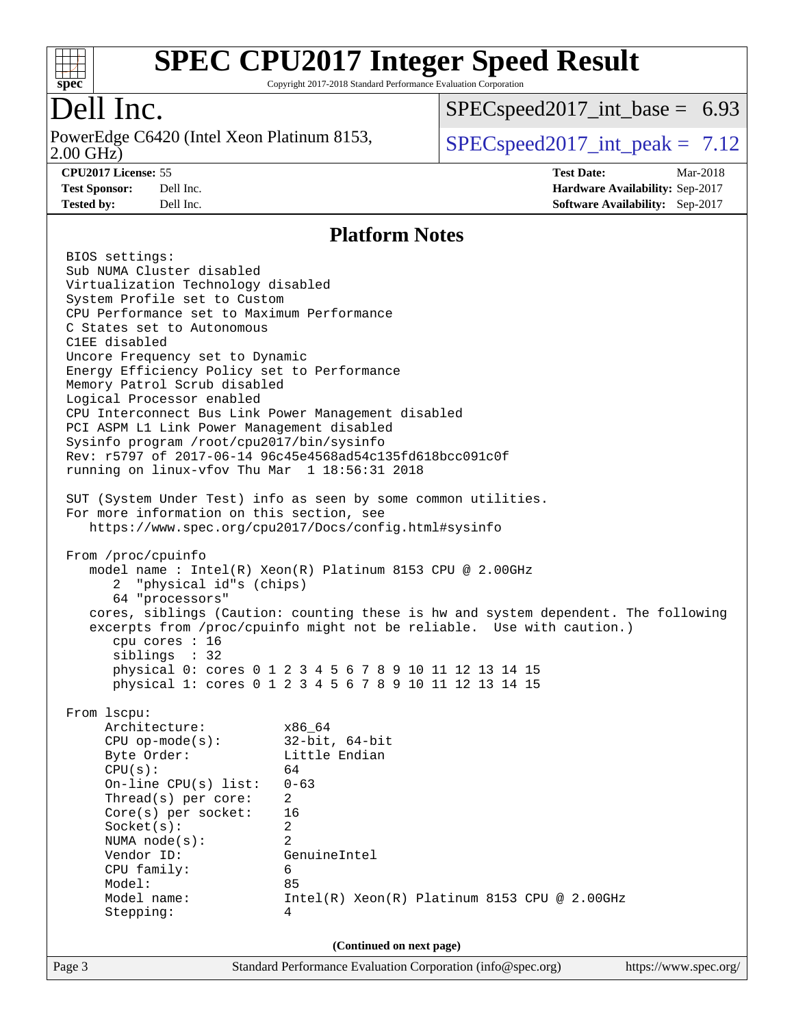

Copyright 2017-2018 Standard Performance Evaluation Corporation

### Dell Inc.

2.00 GHz) PowerEdge C6420 (Intel Xeon Platinum 8153,  $\vert$  [SPECspeed2017\\_int\\_peak =](http://www.spec.org/auto/cpu2017/Docs/result-fields.html#SPECspeed2017intpeak) 7.12

 $SPECspeed2017\_int\_base = 6.93$ 

**[Tested by:](http://www.spec.org/auto/cpu2017/Docs/result-fields.html#Testedby)** Dell Inc. **[Software Availability:](http://www.spec.org/auto/cpu2017/Docs/result-fields.html#SoftwareAvailability)** Sep-2017

**[CPU2017 License:](http://www.spec.org/auto/cpu2017/Docs/result-fields.html#CPU2017License)** 55 **[Test Date:](http://www.spec.org/auto/cpu2017/Docs/result-fields.html#TestDate)** Mar-2018 **[Test Sponsor:](http://www.spec.org/auto/cpu2017/Docs/result-fields.html#TestSponsor)** Dell Inc. **[Hardware Availability:](http://www.spec.org/auto/cpu2017/Docs/result-fields.html#HardwareAvailability)** Sep-2017

#### **[Platform Notes](http://www.spec.org/auto/cpu2017/Docs/result-fields.html#PlatformNotes)**

Page 3 Standard Performance Evaluation Corporation [\(info@spec.org\)](mailto:info@spec.org) <https://www.spec.org/> BIOS settings: Sub NUMA Cluster disabled Virtualization Technology disabled System Profile set to Custom CPU Performance set to Maximum Performance C States set to Autonomous C1EE disabled Uncore Frequency set to Dynamic Energy Efficiency Policy set to Performance Memory Patrol Scrub disabled Logical Processor enabled CPU Interconnect Bus Link Power Management disabled PCI ASPM L1 Link Power Management disabled Sysinfo program /root/cpu2017/bin/sysinfo Rev: r5797 of 2017-06-14 96c45e4568ad54c135fd618bcc091c0f running on linux-vfov Thu Mar 1 18:56:31 2018 SUT (System Under Test) info as seen by some common utilities. For more information on this section, see <https://www.spec.org/cpu2017/Docs/config.html#sysinfo> From /proc/cpuinfo model name : Intel(R) Xeon(R) Platinum 8153 CPU @ 2.00GHz 2 "physical id"s (chips) 64 "processors" cores, siblings (Caution: counting these is hw and system dependent. The following excerpts from /proc/cpuinfo might not be reliable. Use with caution.) cpu cores : 16 siblings : 32 physical 0: cores 0 1 2 3 4 5 6 7 8 9 10 11 12 13 14 15 physical 1: cores 0 1 2 3 4 5 6 7 8 9 10 11 12 13 14 15 From lscpu: Architecture: x86\_64 CPU op-mode(s): 32-bit, 64-bit Byte Order: Little Endian  $CPU(s):$  64 On-line CPU(s) list: 0-63 Thread(s) per core: 2 Core(s) per socket: 16 Socket(s): 2 NUMA node(s): 2 Vendor ID: GenuineIntel CPU family: 6 Model: 85 Model name: Intel(R) Xeon(R) Platinum 8153 CPU @ 2.00GHz Stepping: 4 **(Continued on next page)**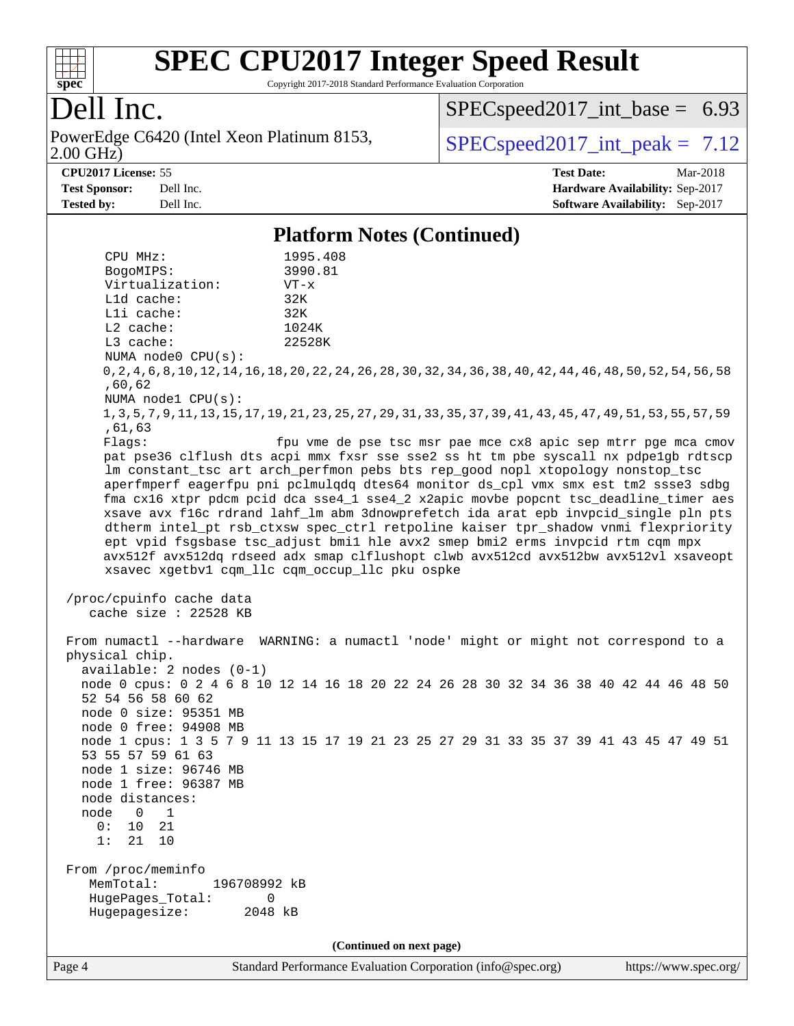

Copyright 2017-2018 Standard Performance Evaluation Corporation

## Dell Inc.

2.00 GHz) PowerEdge C6420 (Intel Xeon Platinum 8153,  $\vert$  [SPECspeed2017\\_int\\_peak =](http://www.spec.org/auto/cpu2017/Docs/result-fields.html#SPECspeed2017intpeak) 7.12

 $SPECspeed2017\_int\_base = 6.93$ 

#### **[CPU2017 License:](http://www.spec.org/auto/cpu2017/Docs/result-fields.html#CPU2017License)** 55 **[Test Date:](http://www.spec.org/auto/cpu2017/Docs/result-fields.html#TestDate)** Mar-2018

**[Test Sponsor:](http://www.spec.org/auto/cpu2017/Docs/result-fields.html#TestSponsor)** Dell Inc. **[Hardware Availability:](http://www.spec.org/auto/cpu2017/Docs/result-fields.html#HardwareAvailability)** Sep-2017 **[Tested by:](http://www.spec.org/auto/cpu2017/Docs/result-fields.html#Testedby)** Dell Inc. **[Software Availability:](http://www.spec.org/auto/cpu2017/Docs/result-fields.html#SoftwareAvailability)** Sep-2017

**[Platform Notes \(Continued\)](http://www.spec.org/auto/cpu2017/Docs/result-fields.html#PlatformNotes)**

 CPU MHz: 1995.408 BogoMIPS: 3990.81 Virtualization: VT-x L1d cache: 32K L1i cache: 32K L2 cache: 1024K L3 cache: 22528K NUMA node0 CPU(s): 0,2,4,6,8,10,12,14,16,18,20,22,24,26,28,30,32,34,36,38,40,42,44,46,48,50,52,54,56,58 ,60,62 NUMA node1 CPU(s): 1,3,5,7,9,11,13,15,17,19,21,23,25,27,29,31,33,35,37,39,41,43,45,47,49,51,53,55,57,59 ,61,63 Flags: fpu vme de pse tsc msr pae mce cx8 apic sep mtrr pge mca cmov pat pse36 clflush dts acpi mmx fxsr sse sse2 ss ht tm pbe syscall nx pdpe1gb rdtscp lm constant\_tsc art arch\_perfmon pebs bts rep\_good nopl xtopology nonstop\_tsc aperfmperf eagerfpu pni pclmulqdq dtes64 monitor ds\_cpl vmx smx est tm2 ssse3 sdbg fma cx16 xtpr pdcm pcid dca sse4\_1 sse4\_2 x2apic movbe popcnt tsc\_deadline\_timer aes xsave avx f16c rdrand lahf\_lm abm 3dnowprefetch ida arat epb invpcid\_single pln pts dtherm intel\_pt rsb\_ctxsw spec\_ctrl retpoline kaiser tpr\_shadow vnmi flexpriority ept vpid fsgsbase tsc\_adjust bmi1 hle avx2 smep bmi2 erms invpcid rtm cqm mpx avx512f avx512dq rdseed adx smap clflushopt clwb avx512cd avx512bw avx512vl xsaveopt xsavec xgetbv1 cqm\_llc cqm\_occup\_llc pku ospke /proc/cpuinfo cache data cache size : 22528 KB From numactl --hardware WARNING: a numactl 'node' might or might not correspond to a physical chip. available: 2 nodes (0-1) node 0 cpus: 0 2 4 6 8 10 12 14 16 18 20 22 24 26 28 30 32 34 36 38 40 42 44 46 48 50 52 54 56 58 60 62 node 0 size: 95351 MB node 0 free: 94908 MB node 1 cpus: 1 3 5 7 9 11 13 15 17 19 21 23 25 27 29 31 33 35 37 39 41 43 45 47 49 51 53 55 57 59 61 63 node 1 size: 96746 MB node 1 free: 96387 MB node distances: node 0 1 0: 10 21 1: 21 10 From /proc/meminfo MemTotal: 196708992 kB HugePages\_Total: 0 Hugepagesize: 2048 kB **(Continued on next page)**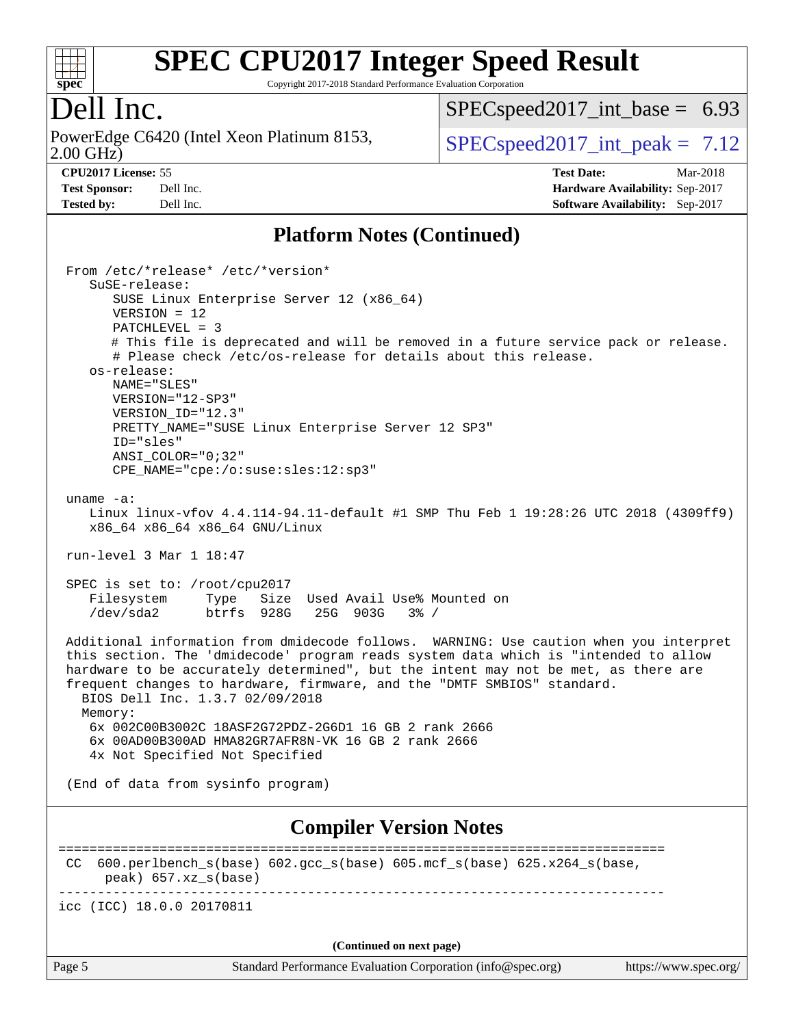

Copyright 2017-2018 Standard Performance Evaluation Corporation

#### Dell Inc.

2.00 GHz) PowerEdge C6420 (Intel Xeon Platinum 8153,  $\vert$  [SPECspeed2017\\_int\\_peak =](http://www.spec.org/auto/cpu2017/Docs/result-fields.html#SPECspeed2017intpeak) 7.12

 $SPECspeed2017\_int\_base = 6.93$ 

**[CPU2017 License:](http://www.spec.org/auto/cpu2017/Docs/result-fields.html#CPU2017License)** 55 **[Test Date:](http://www.spec.org/auto/cpu2017/Docs/result-fields.html#TestDate)** Mar-2018 **[Test Sponsor:](http://www.spec.org/auto/cpu2017/Docs/result-fields.html#TestSponsor)** Dell Inc. **[Hardware Availability:](http://www.spec.org/auto/cpu2017/Docs/result-fields.html#HardwareAvailability)** Sep-2017 **[Tested by:](http://www.spec.org/auto/cpu2017/Docs/result-fields.html#Testedby)** Dell Inc. **[Software Availability:](http://www.spec.org/auto/cpu2017/Docs/result-fields.html#SoftwareAvailability)** Sep-2017

#### **[Platform Notes \(Continued\)](http://www.spec.org/auto/cpu2017/Docs/result-fields.html#PlatformNotes)**

 From /etc/\*release\* /etc/\*version\* SuSE-release: SUSE Linux Enterprise Server 12 (x86\_64) VERSION = 12 PATCHLEVEL = 3 # This file is deprecated and will be removed in a future service pack or release. # Please check /etc/os-release for details about this release. os-release: NAME="SLES" VERSION="12-SP3" VERSION\_ID="12.3" PRETTY NAME="SUSE Linux Enterprise Server 12 SP3" ID="sles" ANSI\_COLOR="0;32" CPE\_NAME="cpe:/o:suse:sles:12:sp3" uname -a: Linux linux-vfov 4.4.114-94.11-default #1 SMP Thu Feb 1 19:28:26 UTC 2018 (4309ff9) x86\_64 x86\_64 x86\_64 GNU/Linux run-level 3 Mar 1 18:47 SPEC is set to: /root/cpu2017 Filesystem Type Size Used Avail Use% Mounted on /dev/sda2 btrfs 928G 25G 903G 3% / Additional information from dmidecode follows. WARNING: Use caution when you interpret this section. The 'dmidecode' program reads system data which is "intended to allow hardware to be accurately determined", but the intent may not be met, as there are frequent changes to hardware, firmware, and the "DMTF SMBIOS" standard. BIOS Dell Inc. 1.3.7 02/09/2018 Memory: 6x 002C00B3002C 18ASF2G72PDZ-2G6D1 16 GB 2 rank 2666 6x 00AD00B300AD HMA82GR7AFR8N-VK 16 GB 2 rank 2666 4x Not Specified Not Specified (End of data from sysinfo program) **[Compiler Version Notes](http://www.spec.org/auto/cpu2017/Docs/result-fields.html#CompilerVersionNotes)** ============================================================================== CC  $600.perlbench$  s(base)  $602.qcc$  s(base)  $605.mcf$  s(base)  $625.x264$  s(base, peak) 657.xz\_s(base) ----------------------------------------------------------------------------- icc (ICC) 18.0.0 20170811 **(Continued on next page)**

Page 5 Standard Performance Evaluation Corporation [\(info@spec.org\)](mailto:info@spec.org) <https://www.spec.org/>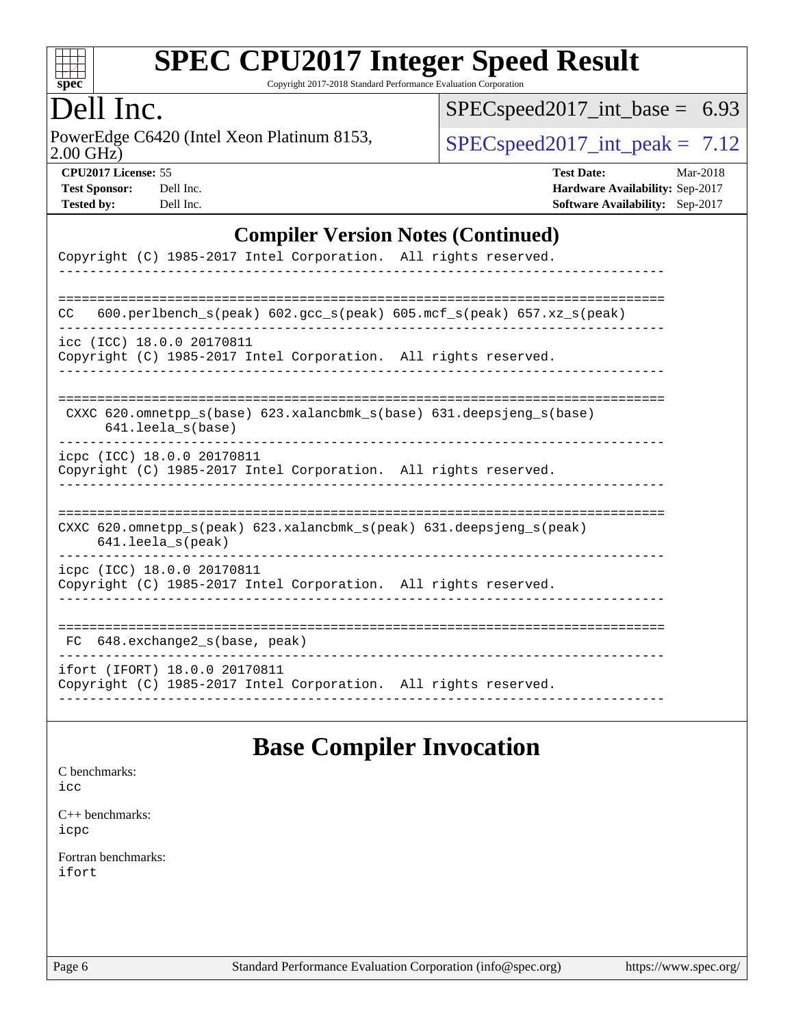

Copyright 2017-2018 Standard Performance Evaluation Corporation

#### Dell Inc.

2.00 GHz) PowerEdge C6420 (Intel Xeon Platinum 8153,  $\text{SPEC speed2017\_int\_peak} = 7.12$ 

[SPECspeed2017\\_int\\_base =](http://www.spec.org/auto/cpu2017/Docs/result-fields.html#SPECspeed2017intbase) 6.93

| <b>Test Sponsor:</b> | Dell In |
|----------------------|---------|
| <b>Tested by:</b>    | Dell In |

**[CPU2017 License:](http://www.spec.org/auto/cpu2017/Docs/result-fields.html#CPU2017License)** 55 **[Test Date:](http://www.spec.org/auto/cpu2017/Docs/result-fields.html#TestDate)** Mar-2018 **[Test Sponsor:](http://www.spec.org/auto/cpu2017/Docs/result-fields.html#TestSponsor) [Hardware Availability:](http://www.spec.org/auto/cpu2017/Docs/result-fields.html#HardwareAvailability)** Sep-2017 **[Tested by:](http://www.spec.org/auto/cpu2017/Docs/result-fields.html#Testedby) [Software Availability:](http://www.spec.org/auto/cpu2017/Docs/result-fields.html#SoftwareAvailability)** Sep-2017

#### **[Compiler Version Notes \(Continued\)](http://www.spec.org/auto/cpu2017/Docs/result-fields.html#CompilerVersionNotes)**

| Copyright (C) 1985-2017 Intel Corporation. All rights reserved.                                                            |
|----------------------------------------------------------------------------------------------------------------------------|
| 600.perlbench $s$ (peak) 602.gcc $s$ (peak) 605.mcf $s$ (peak) 657.xz $s$ (peak)<br>CC                                     |
| icc (ICC) 18.0.0 20170811<br>Copyright (C) 1985-2017 Intel Corporation. All rights reserved.                               |
| CXXC 620.omnetpp_s(base) 623.xalancbmk_s(base) 631.deepsjeng_s(base)<br>641.leela s(base)                                  |
| icpc (ICC) 18.0.0 20170811<br>Copyright (C) 1985-2017 Intel Corporation. All rights reserved.                              |
| CXXC $620.\text{omnetpp_s}$ (peak) $623.\text{xalancbmk_s}$ (peak) $631.\text{deepsjeng_s}$ (peak)<br>$641.$ leela_s(peak) |
| icpc (ICC) 18.0.0 20170811<br>Copyright (C) 1985-2017 Intel Corporation. All rights reserved.                              |
| 648.exchange2 s(base, peak)<br>FC.<br>---------------------------                                                          |
| ifort (IFORT) 18.0.0 20170811<br>Copyright (C) 1985-2017 Intel Corporation. All rights reserved.                           |

#### **[Base Compiler Invocation](http://www.spec.org/auto/cpu2017/Docs/result-fields.html#BaseCompilerInvocation)**

[C benchmarks](http://www.spec.org/auto/cpu2017/Docs/result-fields.html#Cbenchmarks): [icc](http://www.spec.org/cpu2017/results/res2018q1/cpu2017-20180305-03805.flags.html#user_CCbase_intel_icc_18.0_66fc1ee009f7361af1fbd72ca7dcefbb700085f36577c54f309893dd4ec40d12360134090235512931783d35fd58c0460139e722d5067c5574d8eaf2b3e37e92)

[C++ benchmarks:](http://www.spec.org/auto/cpu2017/Docs/result-fields.html#CXXbenchmarks) [icpc](http://www.spec.org/cpu2017/results/res2018q1/cpu2017-20180305-03805.flags.html#user_CXXbase_intel_icpc_18.0_c510b6838c7f56d33e37e94d029a35b4a7bccf4766a728ee175e80a419847e808290a9b78be685c44ab727ea267ec2f070ec5dc83b407c0218cded6866a35d07)

[Fortran benchmarks](http://www.spec.org/auto/cpu2017/Docs/result-fields.html#Fortranbenchmarks): [ifort](http://www.spec.org/cpu2017/results/res2018q1/cpu2017-20180305-03805.flags.html#user_FCbase_intel_ifort_18.0_8111460550e3ca792625aed983ce982f94888b8b503583aa7ba2b8303487b4d8a21a13e7191a45c5fd58ff318f48f9492884d4413fa793fd88dd292cad7027ca)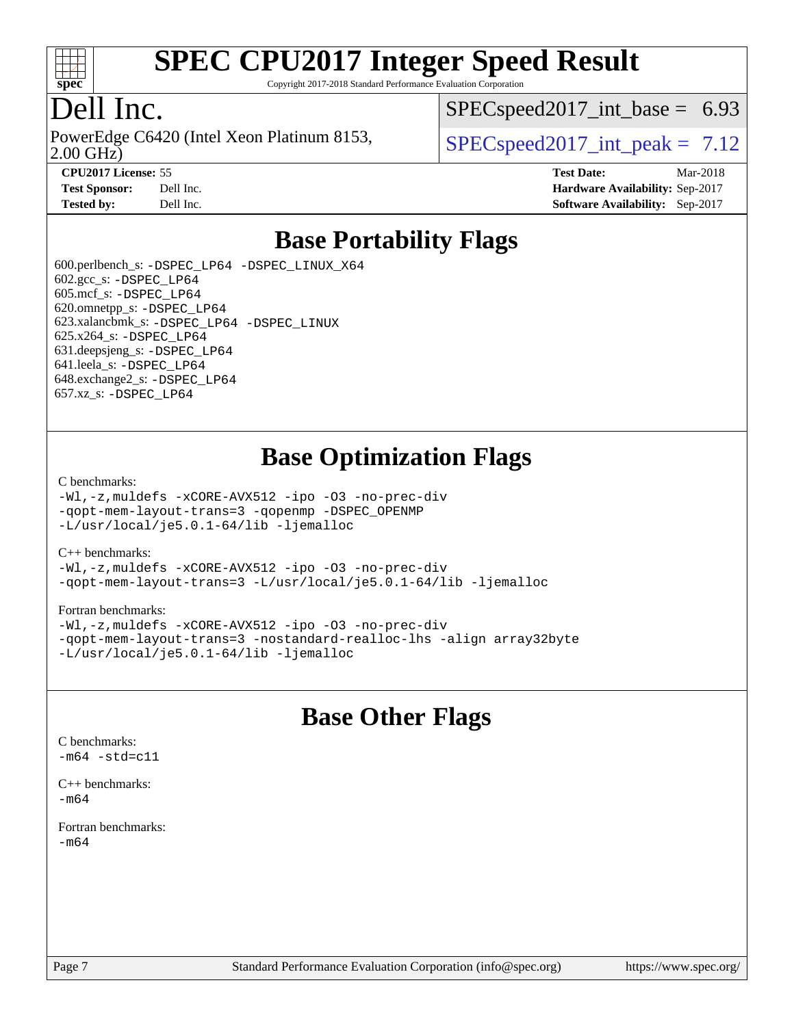

Copyright 2017-2018 Standard Performance Evaluation Corporation

#### Dell Inc.

PowerEdge C6420 (Intel Xeon Platinum 8153,<br>2.00 GHz)

 $SPECspeed2017\_int\_base = 6.93$ 

 $SPECspeed2017\_int\_peak = 7.12$ 

**[CPU2017 License:](http://www.spec.org/auto/cpu2017/Docs/result-fields.html#CPU2017License)** 55 **[Test Date:](http://www.spec.org/auto/cpu2017/Docs/result-fields.html#TestDate)** Mar-2018 **[Test Sponsor:](http://www.spec.org/auto/cpu2017/Docs/result-fields.html#TestSponsor)** Dell Inc. **[Hardware Availability:](http://www.spec.org/auto/cpu2017/Docs/result-fields.html#HardwareAvailability)** Sep-2017 **[Tested by:](http://www.spec.org/auto/cpu2017/Docs/result-fields.html#Testedby)** Dell Inc. **[Software Availability:](http://www.spec.org/auto/cpu2017/Docs/result-fields.html#SoftwareAvailability)** Sep-2017

#### **[Base Portability Flags](http://www.spec.org/auto/cpu2017/Docs/result-fields.html#BasePortabilityFlags)**

 600.perlbench\_s: [-DSPEC\\_LP64](http://www.spec.org/cpu2017/results/res2018q1/cpu2017-20180305-03805.flags.html#b600.perlbench_s_basePORTABILITY_DSPEC_LP64) [-DSPEC\\_LINUX\\_X64](http://www.spec.org/cpu2017/results/res2018q1/cpu2017-20180305-03805.flags.html#b600.perlbench_s_baseCPORTABILITY_DSPEC_LINUX_X64) 602.gcc\_s: [-DSPEC\\_LP64](http://www.spec.org/cpu2017/results/res2018q1/cpu2017-20180305-03805.flags.html#suite_basePORTABILITY602_gcc_s_DSPEC_LP64) 605.mcf\_s: [-DSPEC\\_LP64](http://www.spec.org/cpu2017/results/res2018q1/cpu2017-20180305-03805.flags.html#suite_basePORTABILITY605_mcf_s_DSPEC_LP64) 620.omnetpp\_s: [-DSPEC\\_LP64](http://www.spec.org/cpu2017/results/res2018q1/cpu2017-20180305-03805.flags.html#suite_basePORTABILITY620_omnetpp_s_DSPEC_LP64) 623.xalancbmk\_s: [-DSPEC\\_LP64](http://www.spec.org/cpu2017/results/res2018q1/cpu2017-20180305-03805.flags.html#suite_basePORTABILITY623_xalancbmk_s_DSPEC_LP64) [-DSPEC\\_LINUX](http://www.spec.org/cpu2017/results/res2018q1/cpu2017-20180305-03805.flags.html#b623.xalancbmk_s_baseCXXPORTABILITY_DSPEC_LINUX) 625.x264\_s: [-DSPEC\\_LP64](http://www.spec.org/cpu2017/results/res2018q1/cpu2017-20180305-03805.flags.html#suite_basePORTABILITY625_x264_s_DSPEC_LP64) 631.deepsjeng\_s: [-DSPEC\\_LP64](http://www.spec.org/cpu2017/results/res2018q1/cpu2017-20180305-03805.flags.html#suite_basePORTABILITY631_deepsjeng_s_DSPEC_LP64) 641.leela\_s: [-DSPEC\\_LP64](http://www.spec.org/cpu2017/results/res2018q1/cpu2017-20180305-03805.flags.html#suite_basePORTABILITY641_leela_s_DSPEC_LP64) 648.exchange2\_s: [-DSPEC\\_LP64](http://www.spec.org/cpu2017/results/res2018q1/cpu2017-20180305-03805.flags.html#suite_basePORTABILITY648_exchange2_s_DSPEC_LP64) 657.xz\_s: [-DSPEC\\_LP64](http://www.spec.org/cpu2017/results/res2018q1/cpu2017-20180305-03805.flags.html#suite_basePORTABILITY657_xz_s_DSPEC_LP64)

#### **[Base Optimization Flags](http://www.spec.org/auto/cpu2017/Docs/result-fields.html#BaseOptimizationFlags)**

#### [C benchmarks](http://www.spec.org/auto/cpu2017/Docs/result-fields.html#Cbenchmarks):

[-Wl,-z,muldefs](http://www.spec.org/cpu2017/results/res2018q1/cpu2017-20180305-03805.flags.html#user_CCbase_link_force_multiple1_b4cbdb97b34bdee9ceefcfe54f4c8ea74255f0b02a4b23e853cdb0e18eb4525ac79b5a88067c842dd0ee6996c24547a27a4b99331201badda8798ef8a743f577) [-xCORE-AVX512](http://www.spec.org/cpu2017/results/res2018q1/cpu2017-20180305-03805.flags.html#user_CCbase_f-xCORE-AVX512) [-ipo](http://www.spec.org/cpu2017/results/res2018q1/cpu2017-20180305-03805.flags.html#user_CCbase_f-ipo) [-O3](http://www.spec.org/cpu2017/results/res2018q1/cpu2017-20180305-03805.flags.html#user_CCbase_f-O3) [-no-prec-div](http://www.spec.org/cpu2017/results/res2018q1/cpu2017-20180305-03805.flags.html#user_CCbase_f-no-prec-div) [-qopt-mem-layout-trans=3](http://www.spec.org/cpu2017/results/res2018q1/cpu2017-20180305-03805.flags.html#user_CCbase_f-qopt-mem-layout-trans_de80db37974c74b1f0e20d883f0b675c88c3b01e9d123adea9b28688d64333345fb62bc4a798493513fdb68f60282f9a726aa07f478b2f7113531aecce732043) [-qopenmp](http://www.spec.org/cpu2017/results/res2018q1/cpu2017-20180305-03805.flags.html#user_CCbase_qopenmp_16be0c44f24f464004c6784a7acb94aca937f053568ce72f94b139a11c7c168634a55f6653758ddd83bcf7b8463e8028bb0b48b77bcddc6b78d5d95bb1df2967) [-DSPEC\\_OPENMP](http://www.spec.org/cpu2017/results/res2018q1/cpu2017-20180305-03805.flags.html#suite_CCbase_DSPEC_OPENMP) [-L/usr/local/je5.0.1-64/lib](http://www.spec.org/cpu2017/results/res2018q1/cpu2017-20180305-03805.flags.html#user_CCbase_jemalloc_link_path64_4b10a636b7bce113509b17f3bd0d6226c5fb2346b9178c2d0232c14f04ab830f976640479e5c33dc2bcbbdad86ecfb6634cbbd4418746f06f368b512fced5394) [-ljemalloc](http://www.spec.org/cpu2017/results/res2018q1/cpu2017-20180305-03805.flags.html#user_CCbase_jemalloc_link_lib_d1249b907c500fa1c0672f44f562e3d0f79738ae9e3c4a9c376d49f265a04b9c99b167ecedbf6711b3085be911c67ff61f150a17b3472be731631ba4d0471706)

#### [C++ benchmarks:](http://www.spec.org/auto/cpu2017/Docs/result-fields.html#CXXbenchmarks)

[-Wl,-z,muldefs](http://www.spec.org/cpu2017/results/res2018q1/cpu2017-20180305-03805.flags.html#user_CXXbase_link_force_multiple1_b4cbdb97b34bdee9ceefcfe54f4c8ea74255f0b02a4b23e853cdb0e18eb4525ac79b5a88067c842dd0ee6996c24547a27a4b99331201badda8798ef8a743f577) [-xCORE-AVX512](http://www.spec.org/cpu2017/results/res2018q1/cpu2017-20180305-03805.flags.html#user_CXXbase_f-xCORE-AVX512) [-ipo](http://www.spec.org/cpu2017/results/res2018q1/cpu2017-20180305-03805.flags.html#user_CXXbase_f-ipo) [-O3](http://www.spec.org/cpu2017/results/res2018q1/cpu2017-20180305-03805.flags.html#user_CXXbase_f-O3) [-no-prec-div](http://www.spec.org/cpu2017/results/res2018q1/cpu2017-20180305-03805.flags.html#user_CXXbase_f-no-prec-div) [-qopt-mem-layout-trans=3](http://www.spec.org/cpu2017/results/res2018q1/cpu2017-20180305-03805.flags.html#user_CXXbase_f-qopt-mem-layout-trans_de80db37974c74b1f0e20d883f0b675c88c3b01e9d123adea9b28688d64333345fb62bc4a798493513fdb68f60282f9a726aa07f478b2f7113531aecce732043) [-L/usr/local/je5.0.1-64/lib](http://www.spec.org/cpu2017/results/res2018q1/cpu2017-20180305-03805.flags.html#user_CXXbase_jemalloc_link_path64_4b10a636b7bce113509b17f3bd0d6226c5fb2346b9178c2d0232c14f04ab830f976640479e5c33dc2bcbbdad86ecfb6634cbbd4418746f06f368b512fced5394) [-ljemalloc](http://www.spec.org/cpu2017/results/res2018q1/cpu2017-20180305-03805.flags.html#user_CXXbase_jemalloc_link_lib_d1249b907c500fa1c0672f44f562e3d0f79738ae9e3c4a9c376d49f265a04b9c99b167ecedbf6711b3085be911c67ff61f150a17b3472be731631ba4d0471706)

#### [Fortran benchmarks](http://www.spec.org/auto/cpu2017/Docs/result-fields.html#Fortranbenchmarks):

[-Wl,-z,muldefs](http://www.spec.org/cpu2017/results/res2018q1/cpu2017-20180305-03805.flags.html#user_FCbase_link_force_multiple1_b4cbdb97b34bdee9ceefcfe54f4c8ea74255f0b02a4b23e853cdb0e18eb4525ac79b5a88067c842dd0ee6996c24547a27a4b99331201badda8798ef8a743f577) [-xCORE-AVX512](http://www.spec.org/cpu2017/results/res2018q1/cpu2017-20180305-03805.flags.html#user_FCbase_f-xCORE-AVX512) [-ipo](http://www.spec.org/cpu2017/results/res2018q1/cpu2017-20180305-03805.flags.html#user_FCbase_f-ipo) [-O3](http://www.spec.org/cpu2017/results/res2018q1/cpu2017-20180305-03805.flags.html#user_FCbase_f-O3) [-no-prec-div](http://www.spec.org/cpu2017/results/res2018q1/cpu2017-20180305-03805.flags.html#user_FCbase_f-no-prec-div) [-qopt-mem-layout-trans=3](http://www.spec.org/cpu2017/results/res2018q1/cpu2017-20180305-03805.flags.html#user_FCbase_f-qopt-mem-layout-trans_de80db37974c74b1f0e20d883f0b675c88c3b01e9d123adea9b28688d64333345fb62bc4a798493513fdb68f60282f9a726aa07f478b2f7113531aecce732043) [-nostandard-realloc-lhs](http://www.spec.org/cpu2017/results/res2018q1/cpu2017-20180305-03805.flags.html#user_FCbase_f_2003_std_realloc_82b4557e90729c0f113870c07e44d33d6f5a304b4f63d4c15d2d0f1fab99f5daaed73bdb9275d9ae411527f28b936061aa8b9c8f2d63842963b95c9dd6426b8a) [-align array32byte](http://www.spec.org/cpu2017/results/res2018q1/cpu2017-20180305-03805.flags.html#user_FCbase_align_array32byte_b982fe038af199962ba9a80c053b8342c548c85b40b8e86eb3cc33dee0d7986a4af373ac2d51c3f7cf710a18d62fdce2948f201cd044323541f22fc0fffc51b6) [-L/usr/local/je5.0.1-64/lib](http://www.spec.org/cpu2017/results/res2018q1/cpu2017-20180305-03805.flags.html#user_FCbase_jemalloc_link_path64_4b10a636b7bce113509b17f3bd0d6226c5fb2346b9178c2d0232c14f04ab830f976640479e5c33dc2bcbbdad86ecfb6634cbbd4418746f06f368b512fced5394) [-ljemalloc](http://www.spec.org/cpu2017/results/res2018q1/cpu2017-20180305-03805.flags.html#user_FCbase_jemalloc_link_lib_d1249b907c500fa1c0672f44f562e3d0f79738ae9e3c4a9c376d49f265a04b9c99b167ecedbf6711b3085be911c67ff61f150a17b3472be731631ba4d0471706)

#### **[Base Other Flags](http://www.spec.org/auto/cpu2017/Docs/result-fields.html#BaseOtherFlags)**

[C benchmarks](http://www.spec.org/auto/cpu2017/Docs/result-fields.html#Cbenchmarks):  $-m64 - std= c11$  $-m64 - std= c11$ 

[C++ benchmarks:](http://www.spec.org/auto/cpu2017/Docs/result-fields.html#CXXbenchmarks) [-m64](http://www.spec.org/cpu2017/results/res2018q1/cpu2017-20180305-03805.flags.html#user_CXXbase_intel_intel64_18.0_af43caccfc8ded86e7699f2159af6efc7655f51387b94da716254467f3c01020a5059329e2569e4053f409e7c9202a7efc638f7a6d1ffb3f52dea4a3e31d82ab)

[Fortran benchmarks](http://www.spec.org/auto/cpu2017/Docs/result-fields.html#Fortranbenchmarks): [-m64](http://www.spec.org/cpu2017/results/res2018q1/cpu2017-20180305-03805.flags.html#user_FCbase_intel_intel64_18.0_af43caccfc8ded86e7699f2159af6efc7655f51387b94da716254467f3c01020a5059329e2569e4053f409e7c9202a7efc638f7a6d1ffb3f52dea4a3e31d82ab)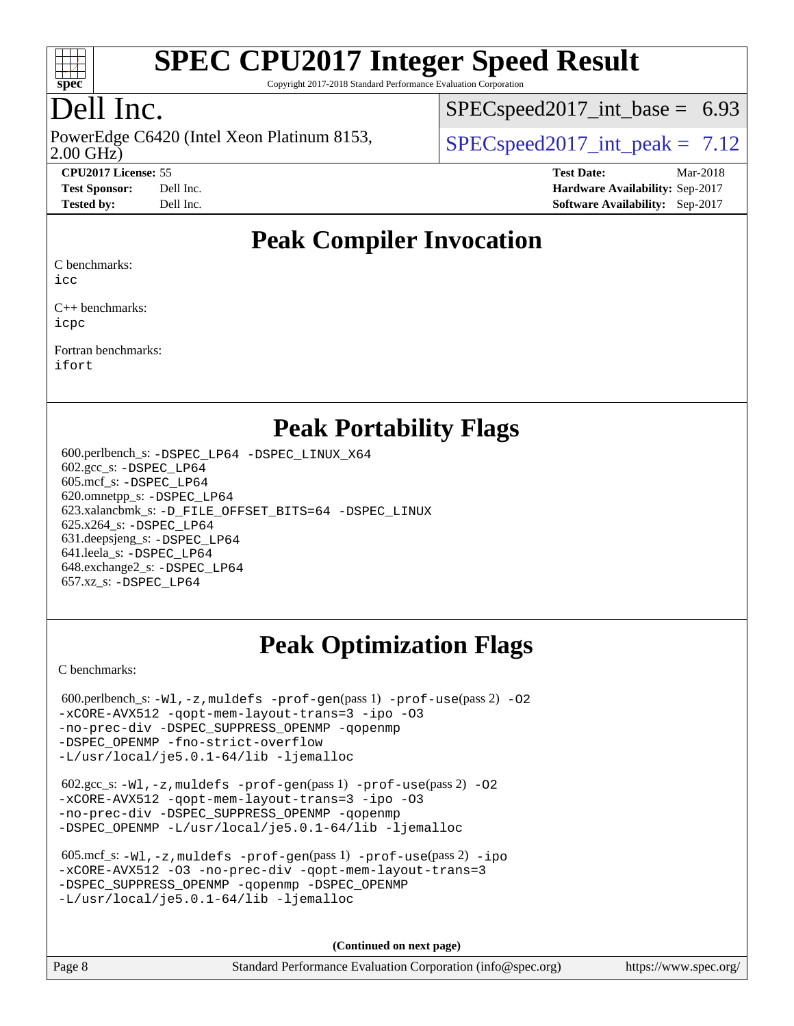

Copyright 2017-2018 Standard Performance Evaluation Corporation

## Dell Inc.

PowerEdge C6420 (Intel Xeon Platinum 8153,<br>2.00 GHz)

 $SPECspeed2017\_int\_base = 6.93$ 

 $SPECspeed2017\_int\_peak = 7.12$ 

**[CPU2017 License:](http://www.spec.org/auto/cpu2017/Docs/result-fields.html#CPU2017License)** 55 **[Test Date:](http://www.spec.org/auto/cpu2017/Docs/result-fields.html#TestDate)** Mar-2018 **[Test Sponsor:](http://www.spec.org/auto/cpu2017/Docs/result-fields.html#TestSponsor)** Dell Inc. **[Hardware Availability:](http://www.spec.org/auto/cpu2017/Docs/result-fields.html#HardwareAvailability)** Sep-2017 **[Tested by:](http://www.spec.org/auto/cpu2017/Docs/result-fields.html#Testedby)** Dell Inc. **[Software Availability:](http://www.spec.org/auto/cpu2017/Docs/result-fields.html#SoftwareAvailability)** Sep-2017

#### **[Peak Compiler Invocation](http://www.spec.org/auto/cpu2017/Docs/result-fields.html#PeakCompilerInvocation)**

[C benchmarks](http://www.spec.org/auto/cpu2017/Docs/result-fields.html#Cbenchmarks):

[icc](http://www.spec.org/cpu2017/results/res2018q1/cpu2017-20180305-03805.flags.html#user_CCpeak_intel_icc_18.0_66fc1ee009f7361af1fbd72ca7dcefbb700085f36577c54f309893dd4ec40d12360134090235512931783d35fd58c0460139e722d5067c5574d8eaf2b3e37e92)

[C++ benchmarks:](http://www.spec.org/auto/cpu2017/Docs/result-fields.html#CXXbenchmarks) [icpc](http://www.spec.org/cpu2017/results/res2018q1/cpu2017-20180305-03805.flags.html#user_CXXpeak_intel_icpc_18.0_c510b6838c7f56d33e37e94d029a35b4a7bccf4766a728ee175e80a419847e808290a9b78be685c44ab727ea267ec2f070ec5dc83b407c0218cded6866a35d07)

[Fortran benchmarks](http://www.spec.org/auto/cpu2017/Docs/result-fields.html#Fortranbenchmarks): [ifort](http://www.spec.org/cpu2017/results/res2018q1/cpu2017-20180305-03805.flags.html#user_FCpeak_intel_ifort_18.0_8111460550e3ca792625aed983ce982f94888b8b503583aa7ba2b8303487b4d8a21a13e7191a45c5fd58ff318f48f9492884d4413fa793fd88dd292cad7027ca)

#### **[Peak Portability Flags](http://www.spec.org/auto/cpu2017/Docs/result-fields.html#PeakPortabilityFlags)**

 600.perlbench\_s: [-DSPEC\\_LP64](http://www.spec.org/cpu2017/results/res2018q1/cpu2017-20180305-03805.flags.html#b600.perlbench_s_peakPORTABILITY_DSPEC_LP64) [-DSPEC\\_LINUX\\_X64](http://www.spec.org/cpu2017/results/res2018q1/cpu2017-20180305-03805.flags.html#b600.perlbench_s_peakCPORTABILITY_DSPEC_LINUX_X64) 602.gcc\_s: [-DSPEC\\_LP64](http://www.spec.org/cpu2017/results/res2018q1/cpu2017-20180305-03805.flags.html#suite_peakPORTABILITY602_gcc_s_DSPEC_LP64) 605.mcf\_s: [-DSPEC\\_LP64](http://www.spec.org/cpu2017/results/res2018q1/cpu2017-20180305-03805.flags.html#suite_peakPORTABILITY605_mcf_s_DSPEC_LP64) 620.omnetpp\_s: [-DSPEC\\_LP64](http://www.spec.org/cpu2017/results/res2018q1/cpu2017-20180305-03805.flags.html#suite_peakPORTABILITY620_omnetpp_s_DSPEC_LP64) 623.xalancbmk\_s: [-D\\_FILE\\_OFFSET\\_BITS=64](http://www.spec.org/cpu2017/results/res2018q1/cpu2017-20180305-03805.flags.html#user_peakPORTABILITY623_xalancbmk_s_file_offset_bits_64_5ae949a99b284ddf4e95728d47cb0843d81b2eb0e18bdfe74bbf0f61d0b064f4bda2f10ea5eb90e1dcab0e84dbc592acfc5018bc955c18609f94ddb8d550002c) [-DSPEC\\_LINUX](http://www.spec.org/cpu2017/results/res2018q1/cpu2017-20180305-03805.flags.html#b623.xalancbmk_s_peakCXXPORTABILITY_DSPEC_LINUX) 625.x264\_s: [-DSPEC\\_LP64](http://www.spec.org/cpu2017/results/res2018q1/cpu2017-20180305-03805.flags.html#suite_peakPORTABILITY625_x264_s_DSPEC_LP64) 631.deepsjeng\_s: [-DSPEC\\_LP64](http://www.spec.org/cpu2017/results/res2018q1/cpu2017-20180305-03805.flags.html#suite_peakPORTABILITY631_deepsjeng_s_DSPEC_LP64) 641.leela\_s: [-DSPEC\\_LP64](http://www.spec.org/cpu2017/results/res2018q1/cpu2017-20180305-03805.flags.html#suite_peakPORTABILITY641_leela_s_DSPEC_LP64) 648.exchange2\_s: [-DSPEC\\_LP64](http://www.spec.org/cpu2017/results/res2018q1/cpu2017-20180305-03805.flags.html#suite_peakPORTABILITY648_exchange2_s_DSPEC_LP64) 657.xz\_s: [-DSPEC\\_LP64](http://www.spec.org/cpu2017/results/res2018q1/cpu2017-20180305-03805.flags.html#suite_peakPORTABILITY657_xz_s_DSPEC_LP64)

## **[Peak Optimization Flags](http://www.spec.org/auto/cpu2017/Docs/result-fields.html#PeakOptimizationFlags)**

[C benchmarks](http://www.spec.org/auto/cpu2017/Docs/result-fields.html#Cbenchmarks):

600.perlbench\_s:  $-W1$ , -z, muldefs [-prof-gen](http://www.spec.org/cpu2017/results/res2018q1/cpu2017-20180305-03805.flags.html#user_peakPASS1_CFLAGSPASS1_LDFLAGS600_perlbench_s_prof_gen_5aa4926d6013ddb2a31985c654b3eb18169fc0c6952a63635c234f711e6e63dd76e94ad52365559451ec499a2cdb89e4dc58ba4c67ef54ca681ffbe1461d6b36)(pass 1) [-prof-use](http://www.spec.org/cpu2017/results/res2018q1/cpu2017-20180305-03805.flags.html#user_peakPASS2_CFLAGSPASS2_LDFLAGS600_perlbench_s_prof_use_1a21ceae95f36a2b53c25747139a6c16ca95bd9def2a207b4f0849963b97e94f5260e30a0c64f4bb623698870e679ca08317ef8150905d41bd88c6f78df73f19)(pass 2) -02 [-xCORE-AVX512](http://www.spec.org/cpu2017/results/res2018q1/cpu2017-20180305-03805.flags.html#user_peakPASS2_COPTIMIZE600_perlbench_s_f-xCORE-AVX512) [-qopt-mem-layout-trans=3](http://www.spec.org/cpu2017/results/res2018q1/cpu2017-20180305-03805.flags.html#user_peakPASS1_COPTIMIZEPASS2_COPTIMIZE600_perlbench_s_f-qopt-mem-layout-trans_de80db37974c74b1f0e20d883f0b675c88c3b01e9d123adea9b28688d64333345fb62bc4a798493513fdb68f60282f9a726aa07f478b2f7113531aecce732043) [-ipo](http://www.spec.org/cpu2017/results/res2018q1/cpu2017-20180305-03805.flags.html#user_peakPASS2_COPTIMIZE600_perlbench_s_f-ipo) [-O3](http://www.spec.org/cpu2017/results/res2018q1/cpu2017-20180305-03805.flags.html#user_peakPASS2_COPTIMIZE600_perlbench_s_f-O3) [-no-prec-div](http://www.spec.org/cpu2017/results/res2018q1/cpu2017-20180305-03805.flags.html#user_peakPASS2_COPTIMIZE600_perlbench_s_f-no-prec-div) [-DSPEC\\_SUPPRESS\\_OPENMP](http://www.spec.org/cpu2017/results/res2018q1/cpu2017-20180305-03805.flags.html#suite_peakPASS1_COPTIMIZE600_perlbench_s_DSPEC_SUPPRESS_OPENMP) [-qopenmp](http://www.spec.org/cpu2017/results/res2018q1/cpu2017-20180305-03805.flags.html#user_peakPASS2_COPTIMIZE600_perlbench_s_qopenmp_16be0c44f24f464004c6784a7acb94aca937f053568ce72f94b139a11c7c168634a55f6653758ddd83bcf7b8463e8028bb0b48b77bcddc6b78d5d95bb1df2967) [-DSPEC\\_OPENMP](http://www.spec.org/cpu2017/results/res2018q1/cpu2017-20180305-03805.flags.html#suite_peakPASS2_COPTIMIZE600_perlbench_s_DSPEC_OPENMP) [-fno-strict-overflow](http://www.spec.org/cpu2017/results/res2018q1/cpu2017-20180305-03805.flags.html#user_peakEXTRA_OPTIMIZE600_perlbench_s_f-fno-strict-overflow) [-L/usr/local/je5.0.1-64/lib](http://www.spec.org/cpu2017/results/res2018q1/cpu2017-20180305-03805.flags.html#user_peakEXTRA_LIBS600_perlbench_s_jemalloc_link_path64_4b10a636b7bce113509b17f3bd0d6226c5fb2346b9178c2d0232c14f04ab830f976640479e5c33dc2bcbbdad86ecfb6634cbbd4418746f06f368b512fced5394) [-ljemalloc](http://www.spec.org/cpu2017/results/res2018q1/cpu2017-20180305-03805.flags.html#user_peakEXTRA_LIBS600_perlbench_s_jemalloc_link_lib_d1249b907c500fa1c0672f44f562e3d0f79738ae9e3c4a9c376d49f265a04b9c99b167ecedbf6711b3085be911c67ff61f150a17b3472be731631ba4d0471706)

 602.gcc\_s: [-Wl,-z,muldefs](http://www.spec.org/cpu2017/results/res2018q1/cpu2017-20180305-03805.flags.html#user_peakEXTRA_LDFLAGS602_gcc_s_link_force_multiple1_b4cbdb97b34bdee9ceefcfe54f4c8ea74255f0b02a4b23e853cdb0e18eb4525ac79b5a88067c842dd0ee6996c24547a27a4b99331201badda8798ef8a743f577) [-prof-gen](http://www.spec.org/cpu2017/results/res2018q1/cpu2017-20180305-03805.flags.html#user_peakPASS1_CFLAGSPASS1_LDFLAGS602_gcc_s_prof_gen_5aa4926d6013ddb2a31985c654b3eb18169fc0c6952a63635c234f711e6e63dd76e94ad52365559451ec499a2cdb89e4dc58ba4c67ef54ca681ffbe1461d6b36)(pass 1) [-prof-use](http://www.spec.org/cpu2017/results/res2018q1/cpu2017-20180305-03805.flags.html#user_peakPASS2_CFLAGSPASS2_LDFLAGS602_gcc_s_prof_use_1a21ceae95f36a2b53c25747139a6c16ca95bd9def2a207b4f0849963b97e94f5260e30a0c64f4bb623698870e679ca08317ef8150905d41bd88c6f78df73f19)(pass 2) [-O2](http://www.spec.org/cpu2017/results/res2018q1/cpu2017-20180305-03805.flags.html#user_peakPASS1_COPTIMIZE602_gcc_s_f-O2) [-xCORE-AVX512](http://www.spec.org/cpu2017/results/res2018q1/cpu2017-20180305-03805.flags.html#user_peakPASS2_COPTIMIZE602_gcc_s_f-xCORE-AVX512) [-qopt-mem-layout-trans=3](http://www.spec.org/cpu2017/results/res2018q1/cpu2017-20180305-03805.flags.html#user_peakPASS1_COPTIMIZEPASS2_COPTIMIZE602_gcc_s_f-qopt-mem-layout-trans_de80db37974c74b1f0e20d883f0b675c88c3b01e9d123adea9b28688d64333345fb62bc4a798493513fdb68f60282f9a726aa07f478b2f7113531aecce732043) [-ipo](http://www.spec.org/cpu2017/results/res2018q1/cpu2017-20180305-03805.flags.html#user_peakPASS2_COPTIMIZE602_gcc_s_f-ipo) [-O3](http://www.spec.org/cpu2017/results/res2018q1/cpu2017-20180305-03805.flags.html#user_peakPASS2_COPTIMIZE602_gcc_s_f-O3) [-no-prec-div](http://www.spec.org/cpu2017/results/res2018q1/cpu2017-20180305-03805.flags.html#user_peakPASS2_COPTIMIZE602_gcc_s_f-no-prec-div) [-DSPEC\\_SUPPRESS\\_OPENMP](http://www.spec.org/cpu2017/results/res2018q1/cpu2017-20180305-03805.flags.html#suite_peakPASS1_COPTIMIZE602_gcc_s_DSPEC_SUPPRESS_OPENMP) [-qopenmp](http://www.spec.org/cpu2017/results/res2018q1/cpu2017-20180305-03805.flags.html#user_peakPASS2_COPTIMIZE602_gcc_s_qopenmp_16be0c44f24f464004c6784a7acb94aca937f053568ce72f94b139a11c7c168634a55f6653758ddd83bcf7b8463e8028bb0b48b77bcddc6b78d5d95bb1df2967) [-DSPEC\\_OPENMP](http://www.spec.org/cpu2017/results/res2018q1/cpu2017-20180305-03805.flags.html#suite_peakPASS2_COPTIMIZE602_gcc_s_DSPEC_OPENMP) [-L/usr/local/je5.0.1-64/lib](http://www.spec.org/cpu2017/results/res2018q1/cpu2017-20180305-03805.flags.html#user_peakEXTRA_LIBS602_gcc_s_jemalloc_link_path64_4b10a636b7bce113509b17f3bd0d6226c5fb2346b9178c2d0232c14f04ab830f976640479e5c33dc2bcbbdad86ecfb6634cbbd4418746f06f368b512fced5394) [-ljemalloc](http://www.spec.org/cpu2017/results/res2018q1/cpu2017-20180305-03805.flags.html#user_peakEXTRA_LIBS602_gcc_s_jemalloc_link_lib_d1249b907c500fa1c0672f44f562e3d0f79738ae9e3c4a9c376d49f265a04b9c99b167ecedbf6711b3085be911c67ff61f150a17b3472be731631ba4d0471706)

| 605.mcf s: $-Wl$ , $-z$ , muldefs $-prof-qen(pass 1)$ $-prof-use(pass 2) -ipo$ |
|--------------------------------------------------------------------------------|
| -xCORE-AVX512 -03 -no-prec-div -gopt-mem-layout-trans=3                        |
| -DSPEC SUPPRESS OPENMP - gopenmp - DSPEC OPENMP                                |
| $-L/usr/local/ie5.0.1-64/lib -liemalloc$                                       |

**(Continued on next page)**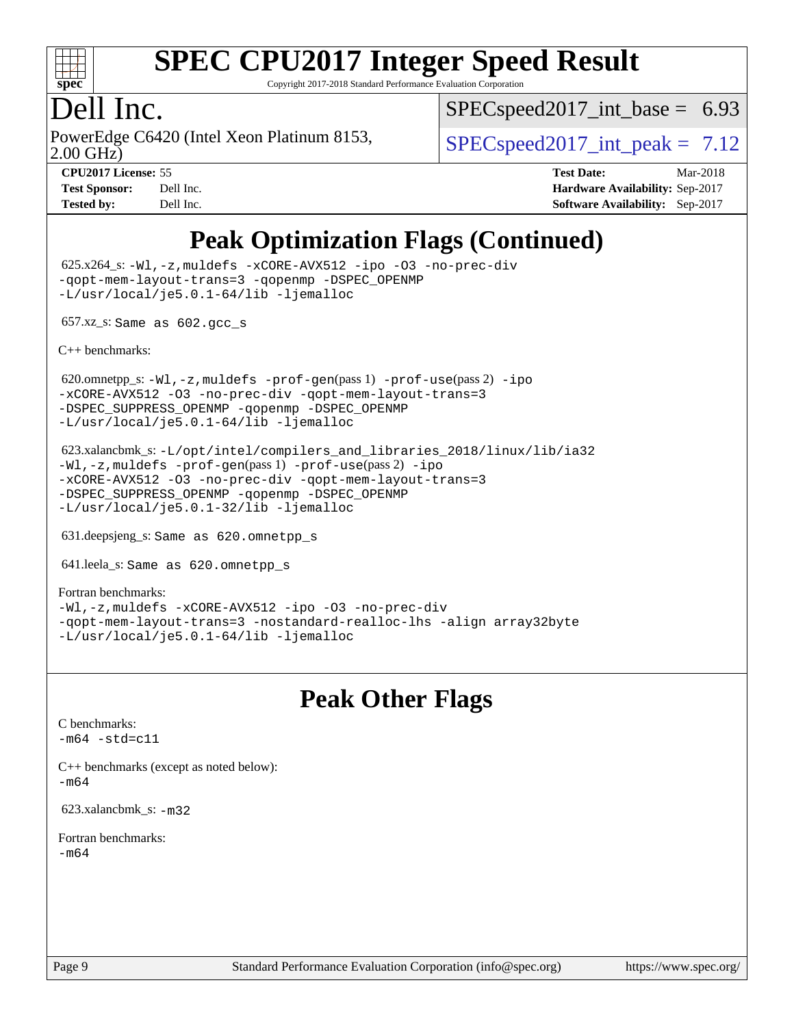

Copyright 2017-2018 Standard Performance Evaluation Corporation

#### Dell Inc.

PowerEdge C6420 (Intel Xeon Platinum 8153,<br>2.00 GHz)

 $SPECspeed2017\_int\_base = 6.93$ 

 $SPECspeed2017\_int\_peak = 7.12$ 

**[CPU2017 License:](http://www.spec.org/auto/cpu2017/Docs/result-fields.html#CPU2017License)** 55 **[Test Date:](http://www.spec.org/auto/cpu2017/Docs/result-fields.html#TestDate)** Mar-2018 **[Test Sponsor:](http://www.spec.org/auto/cpu2017/Docs/result-fields.html#TestSponsor)** Dell Inc. **[Hardware Availability:](http://www.spec.org/auto/cpu2017/Docs/result-fields.html#HardwareAvailability)** Sep-2017 **[Tested by:](http://www.spec.org/auto/cpu2017/Docs/result-fields.html#Testedby)** Dell Inc. **[Software Availability:](http://www.spec.org/auto/cpu2017/Docs/result-fields.html#SoftwareAvailability)** Sep-2017

### **[Peak Optimization Flags \(Continued\)](http://www.spec.org/auto/cpu2017/Docs/result-fields.html#PeakOptimizationFlags)**

 625.x264\_s: [-Wl,-z,muldefs](http://www.spec.org/cpu2017/results/res2018q1/cpu2017-20180305-03805.flags.html#user_peakEXTRA_LDFLAGS625_x264_s_link_force_multiple1_b4cbdb97b34bdee9ceefcfe54f4c8ea74255f0b02a4b23e853cdb0e18eb4525ac79b5a88067c842dd0ee6996c24547a27a4b99331201badda8798ef8a743f577) [-xCORE-AVX512](http://www.spec.org/cpu2017/results/res2018q1/cpu2017-20180305-03805.flags.html#user_peakCOPTIMIZE625_x264_s_f-xCORE-AVX512) [-ipo](http://www.spec.org/cpu2017/results/res2018q1/cpu2017-20180305-03805.flags.html#user_peakCOPTIMIZE625_x264_s_f-ipo) [-O3](http://www.spec.org/cpu2017/results/res2018q1/cpu2017-20180305-03805.flags.html#user_peakCOPTIMIZE625_x264_s_f-O3) [-no-prec-div](http://www.spec.org/cpu2017/results/res2018q1/cpu2017-20180305-03805.flags.html#user_peakCOPTIMIZE625_x264_s_f-no-prec-div) [-qopt-mem-layout-trans=3](http://www.spec.org/cpu2017/results/res2018q1/cpu2017-20180305-03805.flags.html#user_peakCOPTIMIZE625_x264_s_f-qopt-mem-layout-trans_de80db37974c74b1f0e20d883f0b675c88c3b01e9d123adea9b28688d64333345fb62bc4a798493513fdb68f60282f9a726aa07f478b2f7113531aecce732043) [-qopenmp](http://www.spec.org/cpu2017/results/res2018q1/cpu2017-20180305-03805.flags.html#user_peakCOPTIMIZE625_x264_s_qopenmp_16be0c44f24f464004c6784a7acb94aca937f053568ce72f94b139a11c7c168634a55f6653758ddd83bcf7b8463e8028bb0b48b77bcddc6b78d5d95bb1df2967) [-DSPEC\\_OPENMP](http://www.spec.org/cpu2017/results/res2018q1/cpu2017-20180305-03805.flags.html#suite_peakCOPTIMIZE625_x264_s_DSPEC_OPENMP) [-L/usr/local/je5.0.1-64/lib](http://www.spec.org/cpu2017/results/res2018q1/cpu2017-20180305-03805.flags.html#user_peakEXTRA_LIBS625_x264_s_jemalloc_link_path64_4b10a636b7bce113509b17f3bd0d6226c5fb2346b9178c2d0232c14f04ab830f976640479e5c33dc2bcbbdad86ecfb6634cbbd4418746f06f368b512fced5394) [-ljemalloc](http://www.spec.org/cpu2017/results/res2018q1/cpu2017-20180305-03805.flags.html#user_peakEXTRA_LIBS625_x264_s_jemalloc_link_lib_d1249b907c500fa1c0672f44f562e3d0f79738ae9e3c4a9c376d49f265a04b9c99b167ecedbf6711b3085be911c67ff61f150a17b3472be731631ba4d0471706)

657.xz\_s: Same as 602.gcc\_s

[C++ benchmarks:](http://www.spec.org/auto/cpu2017/Docs/result-fields.html#CXXbenchmarks)

620.omnetpp\_s: $-W1$ ,-z,muldefs -prof-qen(pass 1) [-prof-use](http://www.spec.org/cpu2017/results/res2018q1/cpu2017-20180305-03805.flags.html#user_peakPASS2_CXXFLAGSPASS2_LDFLAGS620_omnetpp_s_prof_use_1a21ceae95f36a2b53c25747139a6c16ca95bd9def2a207b4f0849963b97e94f5260e30a0c64f4bb623698870e679ca08317ef8150905d41bd88c6f78df73f19)(pass 2) [-ipo](http://www.spec.org/cpu2017/results/res2018q1/cpu2017-20180305-03805.flags.html#user_peakPASS1_CXXOPTIMIZEPASS2_CXXOPTIMIZE620_omnetpp_s_f-ipo) [-xCORE-AVX512](http://www.spec.org/cpu2017/results/res2018q1/cpu2017-20180305-03805.flags.html#user_peakPASS2_CXXOPTIMIZE620_omnetpp_s_f-xCORE-AVX512) [-O3](http://www.spec.org/cpu2017/results/res2018q1/cpu2017-20180305-03805.flags.html#user_peakPASS1_CXXOPTIMIZEPASS2_CXXOPTIMIZE620_omnetpp_s_f-O3) [-no-prec-div](http://www.spec.org/cpu2017/results/res2018q1/cpu2017-20180305-03805.flags.html#user_peakPASS1_CXXOPTIMIZEPASS2_CXXOPTIMIZE620_omnetpp_s_f-no-prec-div) [-qopt-mem-layout-trans=3](http://www.spec.org/cpu2017/results/res2018q1/cpu2017-20180305-03805.flags.html#user_peakPASS1_CXXOPTIMIZEPASS2_CXXOPTIMIZE620_omnetpp_s_f-qopt-mem-layout-trans_de80db37974c74b1f0e20d883f0b675c88c3b01e9d123adea9b28688d64333345fb62bc4a798493513fdb68f60282f9a726aa07f478b2f7113531aecce732043) [-DSPEC\\_SUPPRESS\\_OPENMP](http://www.spec.org/cpu2017/results/res2018q1/cpu2017-20180305-03805.flags.html#suite_peakPASS1_CXXOPTIMIZE620_omnetpp_s_DSPEC_SUPPRESS_OPENMP) [-qopenmp](http://www.spec.org/cpu2017/results/res2018q1/cpu2017-20180305-03805.flags.html#user_peakPASS2_CXXOPTIMIZE620_omnetpp_s_qopenmp_16be0c44f24f464004c6784a7acb94aca937f053568ce72f94b139a11c7c168634a55f6653758ddd83bcf7b8463e8028bb0b48b77bcddc6b78d5d95bb1df2967) [-DSPEC\\_OPENMP](http://www.spec.org/cpu2017/results/res2018q1/cpu2017-20180305-03805.flags.html#suite_peakPASS2_CXXOPTIMIZE620_omnetpp_s_DSPEC_OPENMP) [-L/usr/local/je5.0.1-64/lib](http://www.spec.org/cpu2017/results/res2018q1/cpu2017-20180305-03805.flags.html#user_peakEXTRA_LIBS620_omnetpp_s_jemalloc_link_path64_4b10a636b7bce113509b17f3bd0d6226c5fb2346b9178c2d0232c14f04ab830f976640479e5c33dc2bcbbdad86ecfb6634cbbd4418746f06f368b512fced5394) [-ljemalloc](http://www.spec.org/cpu2017/results/res2018q1/cpu2017-20180305-03805.flags.html#user_peakEXTRA_LIBS620_omnetpp_s_jemalloc_link_lib_d1249b907c500fa1c0672f44f562e3d0f79738ae9e3c4a9c376d49f265a04b9c99b167ecedbf6711b3085be911c67ff61f150a17b3472be731631ba4d0471706)

 623.xalancbmk\_s: [-L/opt/intel/compilers\\_and\\_libraries\\_2018/linux/lib/ia32](http://www.spec.org/cpu2017/results/res2018q1/cpu2017-20180305-03805.flags.html#user_peakCXXLD623_xalancbmk_s_Enable-32bit-runtime_af243bdb1d79e4c7a4f720bf8275e627de2ecd461de63307bc14cef0633fde3cd7bb2facb32dcc8be9566045fb55d40ce2b72b725f73827aa7833441b71b9343) [-Wl,-z,muldefs](http://www.spec.org/cpu2017/results/res2018q1/cpu2017-20180305-03805.flags.html#user_peakEXTRA_LDFLAGS623_xalancbmk_s_link_force_multiple1_b4cbdb97b34bdee9ceefcfe54f4c8ea74255f0b02a4b23e853cdb0e18eb4525ac79b5a88067c842dd0ee6996c24547a27a4b99331201badda8798ef8a743f577) [-prof-gen](http://www.spec.org/cpu2017/results/res2018q1/cpu2017-20180305-03805.flags.html#user_peakPASS1_CXXFLAGSPASS1_LDFLAGS623_xalancbmk_s_prof_gen_5aa4926d6013ddb2a31985c654b3eb18169fc0c6952a63635c234f711e6e63dd76e94ad52365559451ec499a2cdb89e4dc58ba4c67ef54ca681ffbe1461d6b36)(pass 1) [-prof-use](http://www.spec.org/cpu2017/results/res2018q1/cpu2017-20180305-03805.flags.html#user_peakPASS2_CXXFLAGSPASS2_LDFLAGS623_xalancbmk_s_prof_use_1a21ceae95f36a2b53c25747139a6c16ca95bd9def2a207b4f0849963b97e94f5260e30a0c64f4bb623698870e679ca08317ef8150905d41bd88c6f78df73f19)(pass 2) [-ipo](http://www.spec.org/cpu2017/results/res2018q1/cpu2017-20180305-03805.flags.html#user_peakPASS1_CXXOPTIMIZEPASS2_CXXOPTIMIZE623_xalancbmk_s_f-ipo) [-xCORE-AVX512](http://www.spec.org/cpu2017/results/res2018q1/cpu2017-20180305-03805.flags.html#user_peakPASS2_CXXOPTIMIZE623_xalancbmk_s_f-xCORE-AVX512) [-O3](http://www.spec.org/cpu2017/results/res2018q1/cpu2017-20180305-03805.flags.html#user_peakPASS1_CXXOPTIMIZEPASS2_CXXOPTIMIZE623_xalancbmk_s_f-O3) [-no-prec-div](http://www.spec.org/cpu2017/results/res2018q1/cpu2017-20180305-03805.flags.html#user_peakPASS1_CXXOPTIMIZEPASS2_CXXOPTIMIZE623_xalancbmk_s_f-no-prec-div) [-qopt-mem-layout-trans=3](http://www.spec.org/cpu2017/results/res2018q1/cpu2017-20180305-03805.flags.html#user_peakPASS1_CXXOPTIMIZEPASS2_CXXOPTIMIZE623_xalancbmk_s_f-qopt-mem-layout-trans_de80db37974c74b1f0e20d883f0b675c88c3b01e9d123adea9b28688d64333345fb62bc4a798493513fdb68f60282f9a726aa07f478b2f7113531aecce732043) [-DSPEC\\_SUPPRESS\\_OPENMP](http://www.spec.org/cpu2017/results/res2018q1/cpu2017-20180305-03805.flags.html#suite_peakPASS1_CXXOPTIMIZE623_xalancbmk_s_DSPEC_SUPPRESS_OPENMP) [-qopenmp](http://www.spec.org/cpu2017/results/res2018q1/cpu2017-20180305-03805.flags.html#user_peakPASS2_CXXOPTIMIZE623_xalancbmk_s_qopenmp_16be0c44f24f464004c6784a7acb94aca937f053568ce72f94b139a11c7c168634a55f6653758ddd83bcf7b8463e8028bb0b48b77bcddc6b78d5d95bb1df2967) [-DSPEC\\_OPENMP](http://www.spec.org/cpu2017/results/res2018q1/cpu2017-20180305-03805.flags.html#suite_peakPASS2_CXXOPTIMIZE623_xalancbmk_s_DSPEC_OPENMP) [-L/usr/local/je5.0.1-32/lib](http://www.spec.org/cpu2017/results/res2018q1/cpu2017-20180305-03805.flags.html#user_peakEXTRA_LIBS623_xalancbmk_s_jemalloc_link_path32_e29f22e8e6c17053bbc6a0971f5a9c01a601a06bb1a59df2084b77a2fe0a2995b64fd4256feaeea39eeba3aae142e96e2b2b0a28974019c0c0c88139a84f900a) [-ljemalloc](http://www.spec.org/cpu2017/results/res2018q1/cpu2017-20180305-03805.flags.html#user_peakEXTRA_LIBS623_xalancbmk_s_jemalloc_link_lib_d1249b907c500fa1c0672f44f562e3d0f79738ae9e3c4a9c376d49f265a04b9c99b167ecedbf6711b3085be911c67ff61f150a17b3472be731631ba4d0471706)

631.deepsjeng\_s: Same as 620.omnetpp\_s

641.leela\_s: Same as 620.omnetpp\_s

[Fortran benchmarks](http://www.spec.org/auto/cpu2017/Docs/result-fields.html#Fortranbenchmarks): [-Wl,-z,muldefs](http://www.spec.org/cpu2017/results/res2018q1/cpu2017-20180305-03805.flags.html#user_FCpeak_link_force_multiple1_b4cbdb97b34bdee9ceefcfe54f4c8ea74255f0b02a4b23e853cdb0e18eb4525ac79b5a88067c842dd0ee6996c24547a27a4b99331201badda8798ef8a743f577) [-xCORE-AVX512](http://www.spec.org/cpu2017/results/res2018q1/cpu2017-20180305-03805.flags.html#user_FCpeak_f-xCORE-AVX512) [-ipo](http://www.spec.org/cpu2017/results/res2018q1/cpu2017-20180305-03805.flags.html#user_FCpeak_f-ipo) [-O3](http://www.spec.org/cpu2017/results/res2018q1/cpu2017-20180305-03805.flags.html#user_FCpeak_f-O3) [-no-prec-div](http://www.spec.org/cpu2017/results/res2018q1/cpu2017-20180305-03805.flags.html#user_FCpeak_f-no-prec-div) [-qopt-mem-layout-trans=3](http://www.spec.org/cpu2017/results/res2018q1/cpu2017-20180305-03805.flags.html#user_FCpeak_f-qopt-mem-layout-trans_de80db37974c74b1f0e20d883f0b675c88c3b01e9d123adea9b28688d64333345fb62bc4a798493513fdb68f60282f9a726aa07f478b2f7113531aecce732043) [-nostandard-realloc-lhs](http://www.spec.org/cpu2017/results/res2018q1/cpu2017-20180305-03805.flags.html#user_FCpeak_f_2003_std_realloc_82b4557e90729c0f113870c07e44d33d6f5a304b4f63d4c15d2d0f1fab99f5daaed73bdb9275d9ae411527f28b936061aa8b9c8f2d63842963b95c9dd6426b8a) [-align array32byte](http://www.spec.org/cpu2017/results/res2018q1/cpu2017-20180305-03805.flags.html#user_FCpeak_align_array32byte_b982fe038af199962ba9a80c053b8342c548c85b40b8e86eb3cc33dee0d7986a4af373ac2d51c3f7cf710a18d62fdce2948f201cd044323541f22fc0fffc51b6) [-L/usr/local/je5.0.1-64/lib](http://www.spec.org/cpu2017/results/res2018q1/cpu2017-20180305-03805.flags.html#user_FCpeak_jemalloc_link_path64_4b10a636b7bce113509b17f3bd0d6226c5fb2346b9178c2d0232c14f04ab830f976640479e5c33dc2bcbbdad86ecfb6634cbbd4418746f06f368b512fced5394) [-ljemalloc](http://www.spec.org/cpu2017/results/res2018q1/cpu2017-20180305-03805.flags.html#user_FCpeak_jemalloc_link_lib_d1249b907c500fa1c0672f44f562e3d0f79738ae9e3c4a9c376d49f265a04b9c99b167ecedbf6711b3085be911c67ff61f150a17b3472be731631ba4d0471706)

#### **[Peak Other Flags](http://www.spec.org/auto/cpu2017/Docs/result-fields.html#PeakOtherFlags)**

[C benchmarks](http://www.spec.org/auto/cpu2017/Docs/result-fields.html#Cbenchmarks):  $-m64 - std= c11$  $-m64 - std= c11$ 

[C++ benchmarks \(except as noted below\):](http://www.spec.org/auto/cpu2017/Docs/result-fields.html#CXXbenchmarksexceptasnotedbelow) [-m64](http://www.spec.org/cpu2017/results/res2018q1/cpu2017-20180305-03805.flags.html#user_CXXpeak_intel_intel64_18.0_af43caccfc8ded86e7699f2159af6efc7655f51387b94da716254467f3c01020a5059329e2569e4053f409e7c9202a7efc638f7a6d1ffb3f52dea4a3e31d82ab)

623.xalancbmk\_s: [-m32](http://www.spec.org/cpu2017/results/res2018q1/cpu2017-20180305-03805.flags.html#user_peakCXXLD623_xalancbmk_s_intel_ia32_18.0_2666f1173eb60787016b673bfe1358e27016ef7649ea4884b7bc6187fd89dc221d14632e22638cde1c647a518de97358ab15d4ad098ee4e19a8b28d0c25e14bf)

[Fortran benchmarks](http://www.spec.org/auto/cpu2017/Docs/result-fields.html#Fortranbenchmarks): [-m64](http://www.spec.org/cpu2017/results/res2018q1/cpu2017-20180305-03805.flags.html#user_FCpeak_intel_intel64_18.0_af43caccfc8ded86e7699f2159af6efc7655f51387b94da716254467f3c01020a5059329e2569e4053f409e7c9202a7efc638f7a6d1ffb3f52dea4a3e31d82ab)